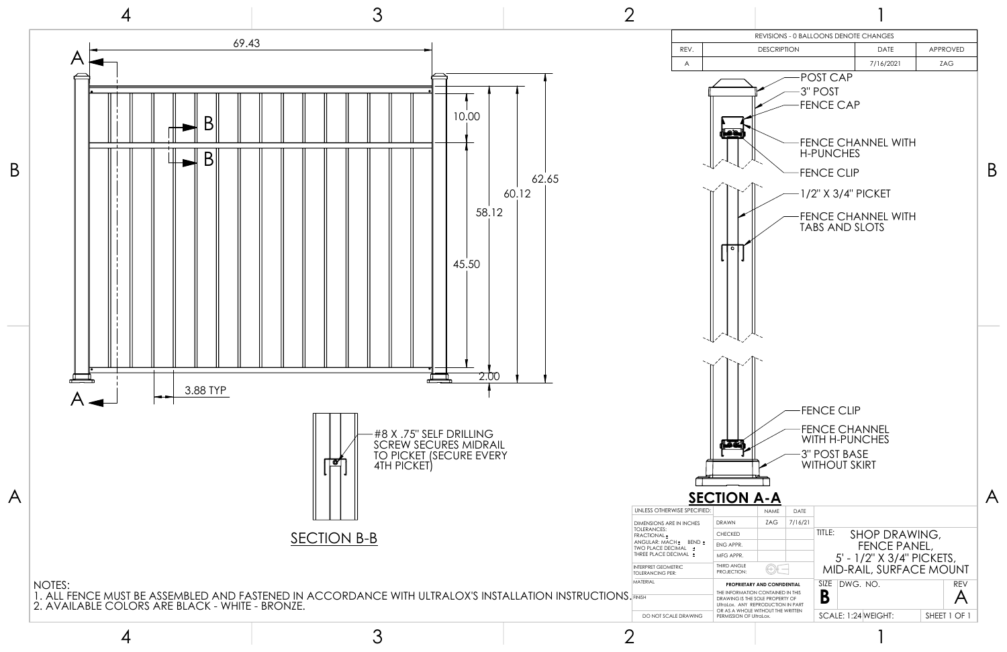3

2

|                         |                          |                                                                       | REVISIONS - 0 BALLOONS DENOTE CHANGES |                           |                 |  |  |
|-------------------------|--------------------------|-----------------------------------------------------------------------|---------------------------------------|---------------------------|-----------------|--|--|
| REV.                    |                          | <b>DESCRIPTION</b>                                                    |                                       | <b>DATE</b>               | <b>APPROVED</b> |  |  |
| A                       |                          |                                                                       |                                       | 7/16/2021                 | ZAG             |  |  |
|                         |                          |                                                                       | POST CAP                              |                           |                 |  |  |
|                         |                          |                                                                       | 3" POST                               |                           |                 |  |  |
|                         |                          |                                                                       | <b>FENCE CAP</b>                      |                           |                 |  |  |
|                         |                          |                                                                       |                                       |                           |                 |  |  |
|                         | <b>Moo</b>               |                                                                       |                                       |                           |                 |  |  |
|                         |                          |                                                                       | <b>H-PUNCHES</b>                      | <b>FENCE CHANNEL WITH</b> |                 |  |  |
|                         |                          |                                                                       |                                       |                           |                 |  |  |
|                         |                          |                                                                       | <b>FENCE CLIP</b>                     |                           |                 |  |  |
|                         |                          |                                                                       | 1/2" X 3/4" PICKET                    |                           |                 |  |  |
|                         |                          |                                                                       |                                       |                           |                 |  |  |
|                         |                          |                                                                       |                                       | <b>FENCE CHANNEL WITH</b> |                 |  |  |
|                         |                          |                                                                       | <b>TABS AND SLOTS</b>                 |                           |                 |  |  |
|                         | ۰                        |                                                                       |                                       |                           |                 |  |  |
|                         |                          |                                                                       |                                       |                           |                 |  |  |
|                         |                          |                                                                       |                                       |                           |                 |  |  |
|                         |                          |                                                                       |                                       |                           |                 |  |  |
|                         |                          |                                                                       |                                       |                           |                 |  |  |
|                         |                          |                                                                       |                                       |                           |                 |  |  |
|                         |                          |                                                                       |                                       |                           |                 |  |  |
|                         |                          |                                                                       |                                       |                           |                 |  |  |
|                         |                          |                                                                       |                                       |                           |                 |  |  |
|                         |                          |                                                                       |                                       |                           |                 |  |  |
|                         |                          |                                                                       |                                       |                           |                 |  |  |
|                         |                          |                                                                       |                                       |                           |                 |  |  |
|                         |                          |                                                                       | <b>FENCE CLIP</b>                     |                           |                 |  |  |
|                         |                          |                                                                       | <b>FENCE CHANNEL</b>                  |                           |                 |  |  |
|                         |                          |                                                                       | WITH H-PUNCHES                        |                           |                 |  |  |
|                         | in Tar                   |                                                                       | <b>3" POST BASE</b>                   |                           |                 |  |  |
|                         |                          |                                                                       | <b>WITHOUT SKIRT</b>                  |                           |                 |  |  |
|                         |                          |                                                                       |                                       |                           |                 |  |  |
|                         | <b>SECTION A-A</b>       |                                                                       |                                       |                           |                 |  |  |
| E SPECIFIED:            |                          | <b>NAME</b><br>DATE                                                   |                                       |                           |                 |  |  |
| <b>I INCHES</b>         | <b>DRAWN</b>             | ZAG<br>7/16/21                                                        |                                       |                           |                 |  |  |
|                         | <b>CHECKED</b>           |                                                                       | TITLE:                                | SHOP DRAWING,             |                 |  |  |
| BEND ±<br>AL ±<br>AAL ± | ENG APPR.                |                                                                       |                                       | FENCE PANEL,              |                 |  |  |
| C                       | MFG APPR.<br>THIRD ANGLE |                                                                       |                                       | 5' - 1/2" X 3/4" PICKETS, |                 |  |  |
|                         | PROJECTION:              |                                                                       |                                       | MID-RAIL, SURFACE MOUNT   |                 |  |  |
|                         |                          | PROPRIETARY AND CONFIDENTIAL<br>THE INFORMATION CONTAINED IN THIS     | SIZE                                  | DWG. NO.                  | <b>REV</b>      |  |  |
|                         |                          | DRAWING IS THE SOLE PROPERTY OF<br>UltraLox. ANY REPRODUCTION IN PART | B                                     |                           |                 |  |  |
| <b>DRAWING</b>          | PERMISSION OF UltraLox.  | OR AS A WHOLE WITHOUT THE WRITTEN                                     |                                       | SCALE: 1:24 WEIGHT:       | SHEET 1 OF 1    |  |  |
|                         |                          |                                                                       |                                       |                           |                 |  |  |

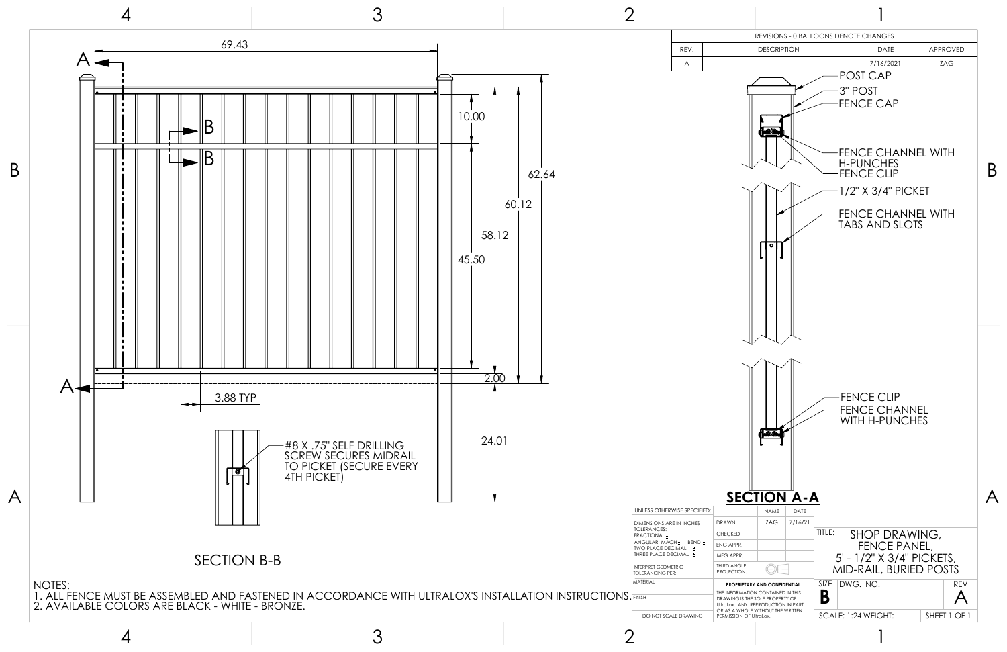3

2

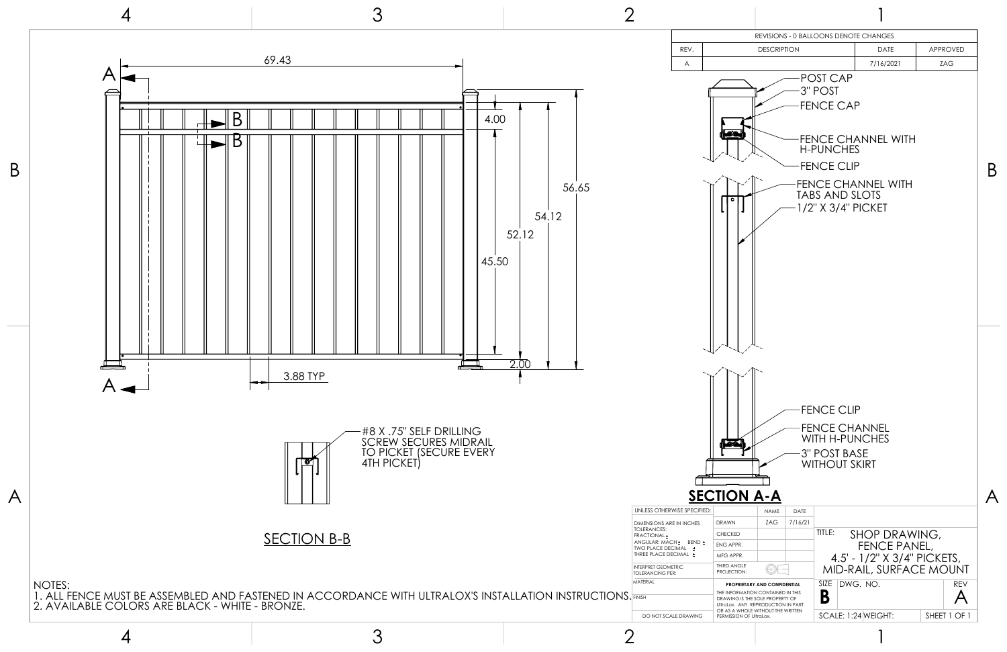3

2

|                                                                 |                                                                                                                                                                                                            |                    |                 |                                                                                                           | REVISIONS - 0 BALLOONS DENOTE CHANGES                                                                                                                |                 |  |  |
|-----------------------------------------------------------------|------------------------------------------------------------------------------------------------------------------------------------------------------------------------------------------------------------|--------------------|-----------------|-----------------------------------------------------------------------------------------------------------|------------------------------------------------------------------------------------------------------------------------------------------------------|-----------------|--|--|
| REV.                                                            |                                                                                                                                                                                                            | <b>DESCRIPTION</b> |                 |                                                                                                           | <b>DATE</b>                                                                                                                                          | <b>APPROVED</b> |  |  |
| A                                                               |                                                                                                                                                                                                            |                    |                 |                                                                                                           | 7/16/2021                                                                                                                                            | ZAG             |  |  |
|                                                                 | Hoon<br>۰                                                                                                                                                                                                  |                    |                 | POST CAP<br>3" POST<br><b>FENCE CAP</b><br><b>H-PUNCHES</b><br><b>FENCE CLIP</b><br><b>TABS AND SLOTS</b> | <b>FENCE CHANNEL WITH</b><br><b>FENCE CHANNEL WITH</b><br>1/2" X 3/4" PICKET                                                                         |                 |  |  |
| E SPECIFIED:<br><b>I</b> INCHES<br>BEND ±<br>AL ±<br>AAL ±<br>С | (Form<br><b>SECTION A-A</b><br><b>DRAWN</b><br><b>CHECKED</b><br>ENG APPR.<br>MFG APPR.<br>THIRD ANGLE<br>PROJECTION:                                                                                      | <b>NAME</b><br>ZAG | DATE<br>7/16/21 | <b>FENCE CLIP</b><br>3" POST BASE<br><b>WITHOUT SKIRT</b><br>TITLE:<br>SIZE                               | <b>FENCE CHANNEL</b><br><b>WITH H-PUNCHES</b><br>SHOP DRAWING,<br>FENCE PANEL,<br>4.5' - 1/2" X 3/4" PICKETS,<br>MID-RAIL, SURFACE MOUNT<br>DWG. NO. | <b>REV</b>      |  |  |
| <b>DRAWING</b>                                                  | PROPRIETARY AND CONFIDENTIAL<br>THE INFORMATION CONTAINED IN THIS<br>DRAWING IS THE SOLE PROPERTY OF<br>UltraLox. ANY REPRODUCTION IN PART<br>OR AS A WHOLE WITHOUT THE WRITTEN<br>PERMISSION OF UltraLox. |                    |                 | B                                                                                                         | SCALE: 1:24 WEIGHT:                                                                                                                                  | SHEET 1 OF 1    |  |  |

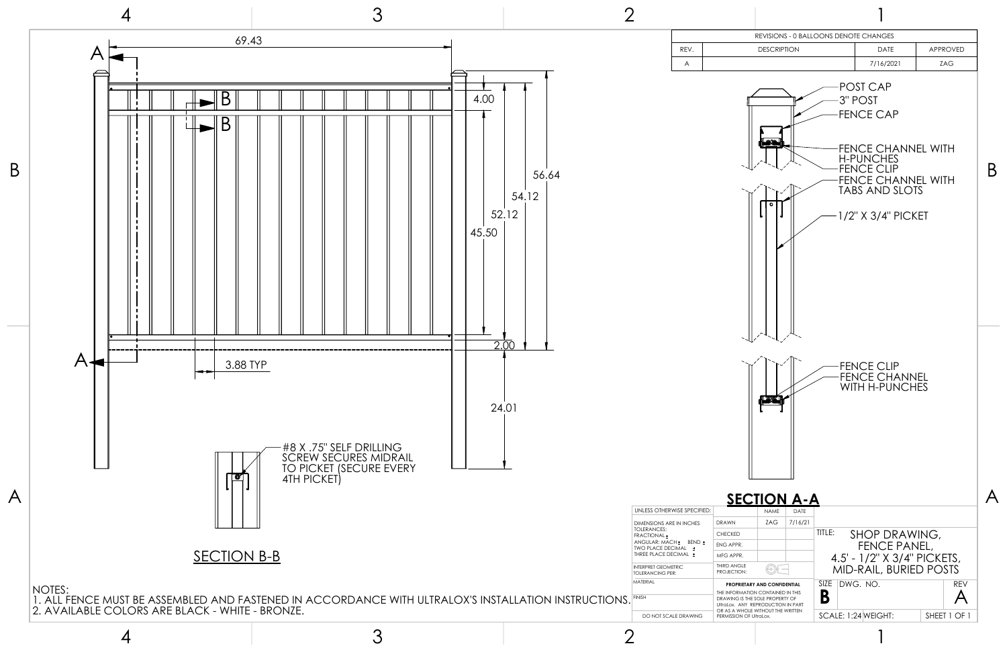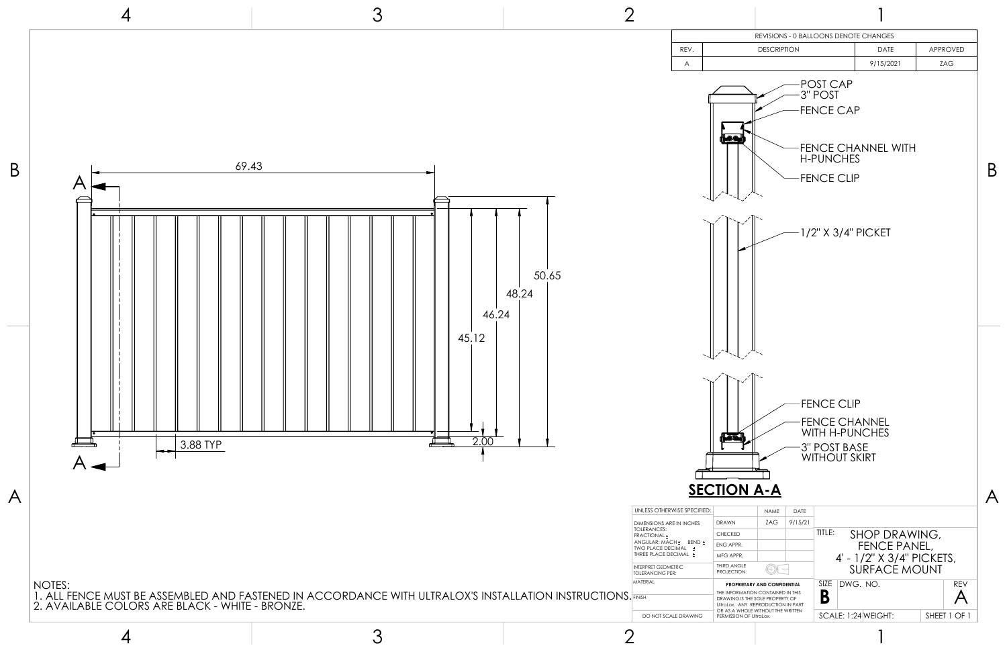3

2